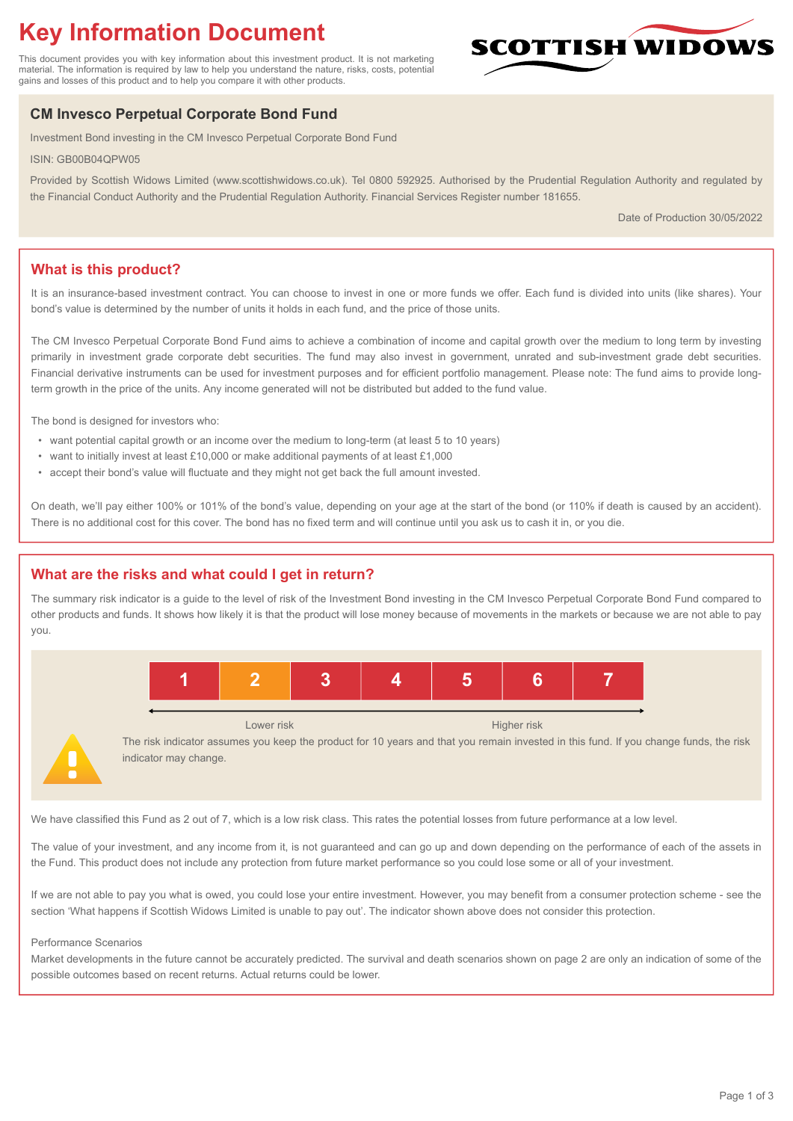# **Key Information Document**

This document provides you with key information about this investment product. It is not marketing material. The information is required by law to help you understand the nature, risks, costs, potential gains and losses of this product and to help you compare it with other products.

# **CM Invesco Perpetual Corporate Bond Fund**

Investment Bond investing in the CM Invesco Perpetual Corporate Bond Fund

ISIN: GB00B04QPW05

Provided by Scottish Widows Limited (www.scottishwidows.co.uk). Tel 0800 592925. Authorised by the Prudential Regulation Authority and regulated by the Financial Conduct Authority and the Prudential Regulation Authority. Financial Services Register number 181655.

Date of Production 30/05/2022

**SCOTTISH WIDOW** 

# **What is this product?**

It is an insurance-based investment contract. You can choose to invest in one or more funds we offer. Each fund is divided into units (like shares). Your bond's value is determined by the number of units it holds in each fund, and the price of those units.

The CM Invesco Perpetual Corporate Bond Fund aims to achieve a combination of income and capital growth over the medium to long term by investing primarily in investment grade corporate debt securities. The fund may also invest in government, unrated and sub-investment grade debt securities. Financial derivative instruments can be used for investment purposes and for efficient portfolio management. Please note: The fund aims to provide longterm growth in the price of the units. Any income generated will not be distributed but added to the fund value.

The bond is designed for investors who:

- want potential capital growth or an income over the medium to long-term (at least 5 to 10 years)
- want to initially invest at least £10,000 or make additional payments of at least £1,000
- accept their bond's value will fluctuate and they might not get back the full amount invested.

On death, we'll pay either 100% or 101% of the bond's value, depending on your age at the start of the bond (or 110% if death is caused by an accident). There is no additional cost for this cover. The bond has no fixed term and will continue until you ask us to cash it in, or you die.

# **What are the risks and what could I get in return?**

The summary risk indicator is a guide to the level of risk of the Investment Bond investing in the CM Invesco Perpetual Corporate Bond Fund compared to other products and funds. It shows how likely it is that the product will lose money because of movements in the markets or because we are not able to pay you.



Lower risk Higher risk

The risk indicator assumes you keep the product for 10 years and that you remain invested in this fund. If you change funds, the risk indicator may change.

We have classified this Fund as 2 out of 7, which is a low risk class. This rates the potential losses from future performance at a low level.

The value of your investment, and any income from it, is not guaranteed and can go up and down depending on the performance of each of the assets in the Fund. This product does not include any protection from future market performance so you could lose some or all of your investment.

If we are not able to pay you what is owed, you could lose your entire investment. However, you may benefit from a consumer protection scheme - see the section 'What happens if Scottish Widows Limited is unable to pay out'. The indicator shown above does not consider this protection.

#### Performance Scenarios

Market developments in the future cannot be accurately predicted. The survival and death scenarios shown on page 2 are only an indication of some of the possible outcomes based on recent returns. Actual returns could be lower.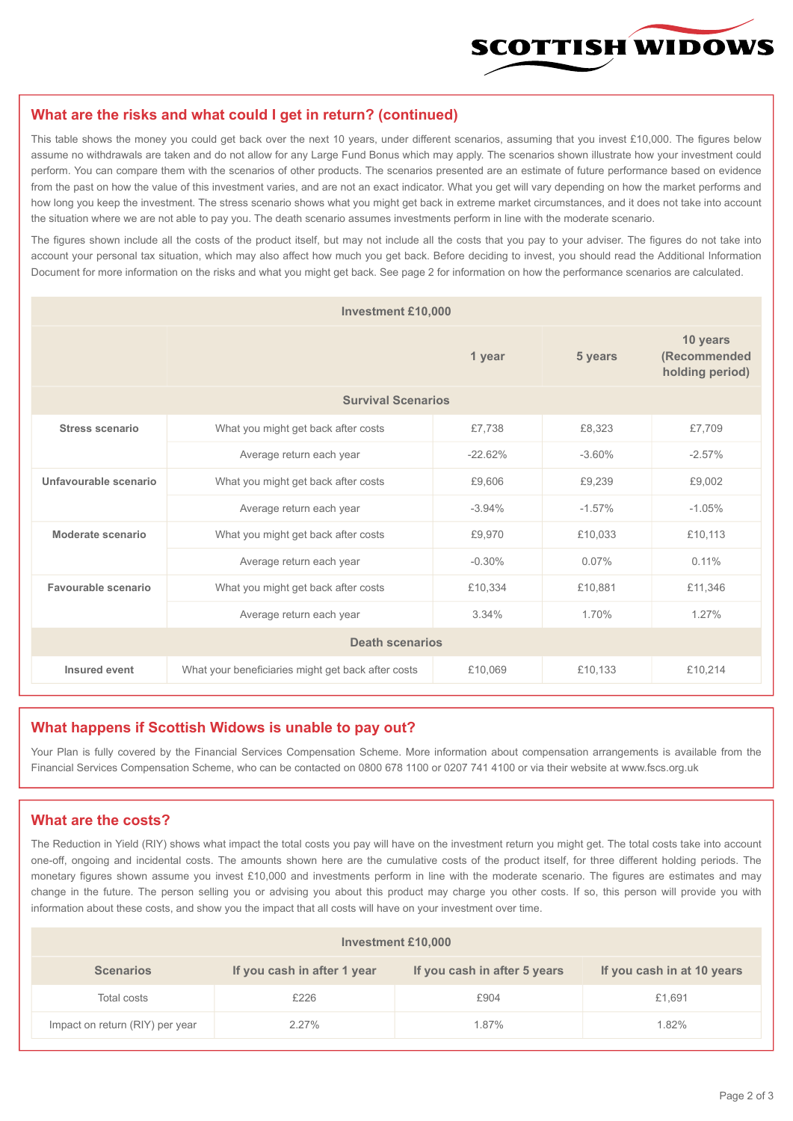

#### **What are the risks and what could I get in return? (continued)**

This table shows the money you could get back over the next 10 years, under different scenarios, assuming that you invest £10,000. The figures below assume no withdrawals are taken and do not allow for any Large Fund Bonus which may apply. The scenarios shown illustrate how your investment could perform. You can compare them with the scenarios of other products. The scenarios presented are an estimate of future performance based on evidence from the past on how the value of this investment varies, and are not an exact indicator. What you get will vary depending on how the market performs and how long you keep the investment. The stress scenario shows what you might get back in extreme market circumstances, and it does not take into account the situation where we are not able to pay you. The death scenario assumes investments perform in line with the moderate scenario.

The figures shown include all the costs of the product itself, but may not include all the costs that you pay to your adviser. The figures do not take into account your personal tax situation, which may also affect how much you get back. Before deciding to invest, you should read the Additional Information Document for more information on the risks and what you might get back. See page 2 for information on how the performance scenarios are calculated.

| <b>Investment £10,000</b> |                                                    |          |           |                                             |  |  |
|---------------------------|----------------------------------------------------|----------|-----------|---------------------------------------------|--|--|
|                           | 1 year                                             |          | 5 years   | 10 years<br>(Recommended<br>holding period) |  |  |
| <b>Survival Scenarios</b> |                                                    |          |           |                                             |  |  |
| <b>Stress scenario</b>    | £7,738<br>What you might get back after costs      |          | £8,323    | £7,709                                      |  |  |
|                           | $-22.62%$<br>Average return each year              |          | $-3.60%$  | $-2.57%$                                    |  |  |
| Unfavourable scenario     | What you might get back after costs                | £9,606   | £9,239    | £9,002                                      |  |  |
|                           | Average return each year                           | $-3.94%$ | $-1.57\%$ | $-1.05%$                                    |  |  |
| Moderate scenario         | What you might get back after costs                | £9,970   | £10,033   | £10,113                                     |  |  |
|                           | Average return each year                           | $-0.30%$ | 0.07%     | $0.11\%$                                    |  |  |
| Favourable scenario       | What you might get back after costs                | £10,334  | £10,881   | £11,346                                     |  |  |
|                           | Average return each year                           | 3.34%    |           | 1.27%                                       |  |  |
| <b>Death scenarios</b>    |                                                    |          |           |                                             |  |  |
| Insured event             | What your beneficiaries might get back after costs | £10,069  | £10,133   | £10,214                                     |  |  |

#### **What happens if Scottish Widows is unable to pay out?**

Your Plan is fully covered by the Financial Services Compensation Scheme. More information about compensation arrangements is available from the Financial Services Compensation Scheme, who can be contacted on 0800 678 1100 or 0207 741 4100 or via their website at www.fscs.org.uk

#### **What are the costs?**

The Reduction in Yield (RIY) shows what impact the total costs you pay will have on the investment return you might get. The total costs take into account one-off, ongoing and incidental costs. The amounts shown here are the cumulative costs of the product itself, for three different holding periods. The monetary figures shown assume you invest £10,000 and investments perform in line with the moderate scenario. The figures are estimates and may change in the future. The person selling you or advising you about this product may charge you other costs. If so, this person will provide you with information about these costs, and show you the impact that all costs will have on your investment over time.

| Investment £10,000              |                             |                              |                            |  |  |  |
|---------------------------------|-----------------------------|------------------------------|----------------------------|--|--|--|
| <b>Scenarios</b>                | If you cash in after 1 year | If you cash in after 5 years | If you cash in at 10 years |  |  |  |
| Total costs                     | £226                        | £904                         | £1,691                     |  |  |  |
| Impact on return (RIY) per year | $2.27\%$                    | 1.87%                        | 1.82%                      |  |  |  |